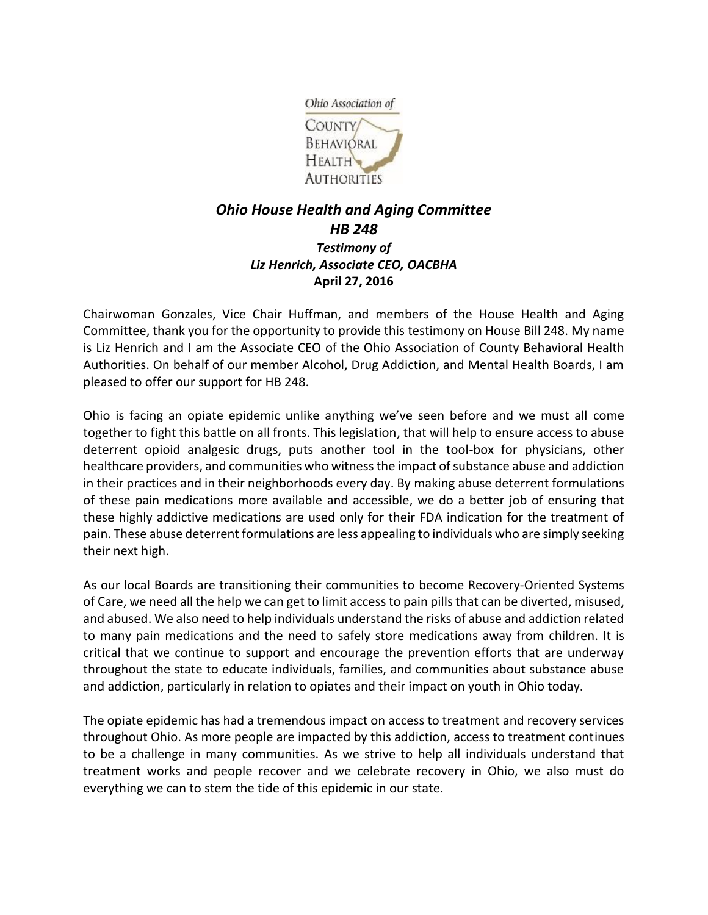

## *Ohio House Health and Aging Committee HB 248 Testimony of Liz Henrich, Associate CEO, OACBHA* **April 27, 2016**

Chairwoman Gonzales, Vice Chair Huffman, and members of the House Health and Aging Committee, thank you for the opportunity to provide this testimony on House Bill 248. My name is Liz Henrich and I am the Associate CEO of the Ohio Association of County Behavioral Health Authorities. On behalf of our member Alcohol, Drug Addiction, and Mental Health Boards, I am pleased to offer our support for HB 248.

Ohio is facing an opiate epidemic unlike anything we've seen before and we must all come together to fight this battle on all fronts. This legislation, that will help to ensure access to abuse deterrent opioid analgesic drugs, puts another tool in the tool-box for physicians, other healthcare providers, and communities who witness the impact of substance abuse and addiction in their practices and in their neighborhoods every day. By making abuse deterrent formulations of these pain medications more available and accessible, we do a better job of ensuring that these highly addictive medications are used only for their FDA indication for the treatment of pain. These abuse deterrent formulations are less appealing to individuals who are simply seeking their next high.

As our local Boards are transitioning their communities to become Recovery-Oriented Systems of Care, we need all the help we can get to limit access to pain pills that can be diverted, misused, and abused. We also need to help individuals understand the risks of abuse and addiction related to many pain medications and the need to safely store medications away from children. It is critical that we continue to support and encourage the prevention efforts that are underway throughout the state to educate individuals, families, and communities about substance abuse and addiction, particularly in relation to opiates and their impact on youth in Ohio today.

The opiate epidemic has had a tremendous impact on access to treatment and recovery services throughout Ohio. As more people are impacted by this addiction, access to treatment continues to be a challenge in many communities. As we strive to help all individuals understand that treatment works and people recover and we celebrate recovery in Ohio, we also must do everything we can to stem the tide of this epidemic in our state.